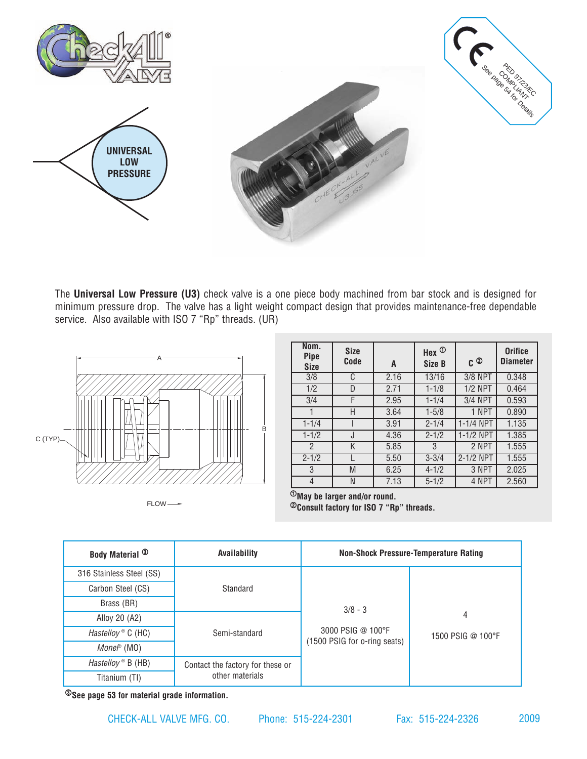

The **Universal Low Pressure (U3)** check valve is a one piece body machined from bar stock and is designed for minimum pressure drop. The valve has a light weight compact design that provides maintenance-free dependable service. Also available with ISO 7 "Rp" threads. (UR)



FLOW-

| Nom.<br><b>Pipe</b><br><b>Size</b> | <b>Size</b><br>Code | A    | Hex $\Phi$<br>Size B | C ②            | <b>Orifice</b><br><b>Diameter</b> |
|------------------------------------|---------------------|------|----------------------|----------------|-----------------------------------|
| 3/8                                | C                   | 2.16 | 13/16                | 3/8 NPT        | 0.348                             |
| 1/2                                | D                   | 2.71 | $1 - 1/8$            | <b>1/2 NPT</b> | 0.464                             |
| 3/4                                | F                   | 2.95 | $1 - 1/4$            | 3/4 NPT        | 0.593                             |
|                                    | Н                   | 3.64 | $1 - 5/8$            | 1 NPT          | 0.890                             |
| $1 - 1/4$                          |                     | 3.91 | $2 - 1/4$            | 1-1/4 NPT      | 1.135                             |
| $1 - 1/2$                          | J                   | 4.36 | $2 - 1/2$            | 1-1/2 NPT      | 1.385                             |
| $\mathfrak{p}$                     | K                   | 5.85 | 3                    | 2 NPT          | 1.555                             |
| $2 - 1/2$                          |                     | 5.50 | $3 - 3/4$            | 2-1/2 NPT      | 1.555                             |
| 3                                  | M                   | 6.25 | $4 - 1/2$            | 3 NPT          | 2.025                             |
| 4                                  | N                   | 7.13 | $5 - 1/2$            | 4 NPT          | 2.560                             |

 $\overline{\Phi_{\text{M}} }$  be larger and/or round. 2**Consult factory for ISO 7 "Rp" threads.** 

| <b>Body Material <sup>3</sup></b> | Availability                     | <b>Non-Shock Pressure-Temperature Rating</b>      |                        |
|-----------------------------------|----------------------------------|---------------------------------------------------|------------------------|
| 316 Stainless Steel (SS)          |                                  |                                                   |                        |
| Carbon Steel (CS)                 | Standard                         |                                                   |                        |
| Brass (BR)                        |                                  | $3/8 - 3$                                         |                        |
| Alloy 20 (A2)                     | Semi-standard                    |                                                   | 4<br>1500 PSIG @ 100°F |
| <i>Hastelloy</i> $\circ$ C (HC)   |                                  | 3000 PSIG @ 100°F<br>(1500 PSIG for o-ring seats) |                        |
| Mone $\mathbb P$ (MO)             |                                  |                                                   |                        |
| Hastelloy $\mathbb B$ (HB)        | Contact the factory for these or |                                                   |                        |
| Titanium (TI)                     | other materials                  |                                                   |                        |

3**See [page 53](http://checkall.com/PDFfiles/material_definition_for_Check-All_Valve_products.pdf) for material grade information.**